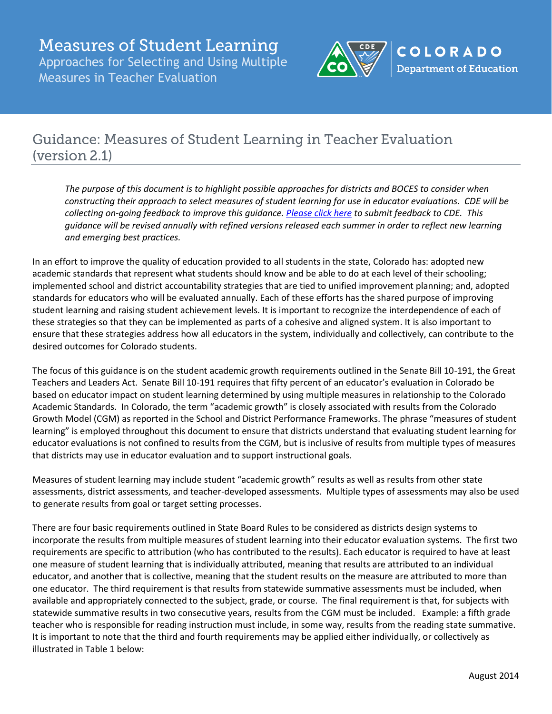

# Guidance: Measures of Student Learning in Teacher Evaluation (version 2.1)

*The purpose of this document is to highlight possible approaches for districts and BOCES to consider when constructing their approach to select measures of student learning for use in educator evaluations. CDE will be collecting on-going feedback to improve this guidance[. Please click here](mailto:king_t@cde.state.co.us) to submit feedback to CDE. This guidance will be revised annually with refined versions released each summer in order to reflect new learning and emerging best practices.*

In an effort to improve the quality of education provided to all students in the state, Colorado has: adopted new academic standards that represent what students should know and be able to do at each level of their schooling; implemented school and district accountability strategies that are tied to unified improvement planning; and, adopted standards for educators who will be evaluated annually. Each of these efforts has the shared purpose of improving student learning and raising student achievement levels. It is important to recognize the interdependence of each of these strategies so that they can be implemented as parts of a cohesive and aligned system. It is also important to ensure that these strategies address how all educators in the system, individually and collectively, can contribute to the desired outcomes for Colorado students.

The focus of this guidance is on the student academic growth requirements outlined in the Senate Bill 10-191, the Great Teachers and Leaders Act. Senate Bill 10-191 requires that fifty percent of an educator's evaluation in Colorado be based on educator impact on student learning determined by using multiple measures in relationship to the Colorado Academic Standards. In Colorado, the term "academic growth" is closely associated with results from the Colorado Growth Model (CGM) as reported in the School and District Performance Frameworks. The phrase "measures of student learning" is employed throughout this document to ensure that districts understand that evaluating student learning for educator evaluations is not confined to results from the CGM, but is inclusive of results from multiple types of measures that districts may use in educator evaluation and to support instructional goals.

Measures of student learning may include student "academic growth" results as well as results from other state assessments, district assessments, and teacher-developed assessments. Multiple types of assessments may also be used to generate results from goal or target setting processes.

There are four basic requirements outlined in State Board Rules to be considered as districts design systems to incorporate the results from multiple measures of student learning into their educator evaluation systems. The first two requirements are specific to attribution (who has contributed to the results). Each educator is required to have at least one measure of student learning that is individually attributed, meaning that results are attributed to an individual educator, and another that is collective, meaning that the student results on the measure are attributed to more than one educator. The third requirement is that results from statewide summative assessments must be included, when available and appropriately connected to the subject, grade, or course. The final requirement is that, for subjects with statewide summative results in two consecutive years, results from the CGM must be included. Example: a fifth grade teacher who is responsible for reading instruction must include, in some way, results from the reading state summative. It is important to note that the third and fourth requirements may be applied either individually, or collectively as illustrated in Table 1 below: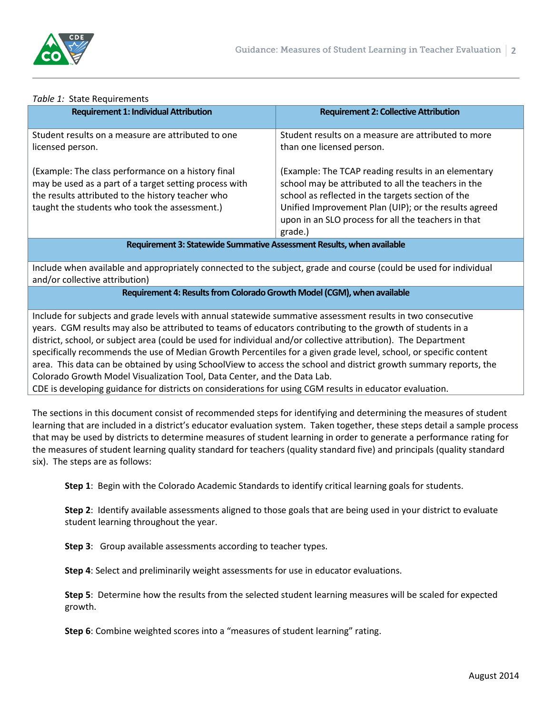

#### *Table 1:* State Requirements

| <b>Requirement 1: Individual Attribution</b>                                                                                                                                                                       | <b>Requirement 2: Collective Attribution</b>                                                                                                                                                                                                                                               |  |
|--------------------------------------------------------------------------------------------------------------------------------------------------------------------------------------------------------------------|--------------------------------------------------------------------------------------------------------------------------------------------------------------------------------------------------------------------------------------------------------------------------------------------|--|
| Student results on a measure are attributed to one<br>licensed person.                                                                                                                                             | Student results on a measure are attributed to more<br>than one licensed person.                                                                                                                                                                                                           |  |
| (Example: The class performance on a history final<br>may be used as a part of a target setting process with<br>the results attributed to the history teacher who<br>taught the students who took the assessment.) | (Example: The TCAP reading results in an elementary<br>school may be attributed to all the teachers in the<br>school as reflected in the targets section of the<br>Unified Improvement Plan (UIP); or the results agreed<br>upon in an SLO process for all the teachers in that<br>grade.) |  |
| Requirement 3: Statewide Summative Assessment Results, when available                                                                                                                                              |                                                                                                                                                                                                                                                                                            |  |

Include when available and appropriately connected to the subject, grade and course (could be used for individual and/or collective attribution)

**Requirement 4: Results from Colorado Growth Model (CGM), when available**

Include for subjects and grade levels with annual statewide summative assessment results in two consecutive years. CGM results may also be attributed to teams of educators contributing to the growth of students in a district, school, or subject area (could be used for individual and/or collective attribution). The Department specifically recommends the use of Median Growth Percentiles for a given grade level, school, or specific content area. This data can be obtained by using SchoolView to access the school and district growth summary reports, the Colorado Growth Model Visualization Tool, Data Center, and the Data Lab. CDE is developing guidance for districts on considerations for using CGM results in educator evaluation.

The sections in this document consist of recommended steps for identifying and determining the measures of student learning that are included in a district's educator evaluation system. Taken together, these steps detail a sample process that may be used by districts to determine measures of student learning in order to generate a performance rating for the measures of student learning quality standard for teachers (quality standard five) and principals (quality standard six). The steps are as follows:

**Step 1**: Begin with the Colorado Academic Standards to identify critical learning goals for students.

**Step 2**: Identify available assessments aligned to those goals that are being used in your district to evaluate student learning throughout the year.

**Step 3**: Group available assessments according to teacher types.

**Step 4**: Select and preliminarily weight assessments for use in educator evaluations.

**Step 5**: Determine how the results from the selected student learning measures will be scaled for expected growth.

**Step 6**: Combine weighted scores into a "measures of student learning" rating.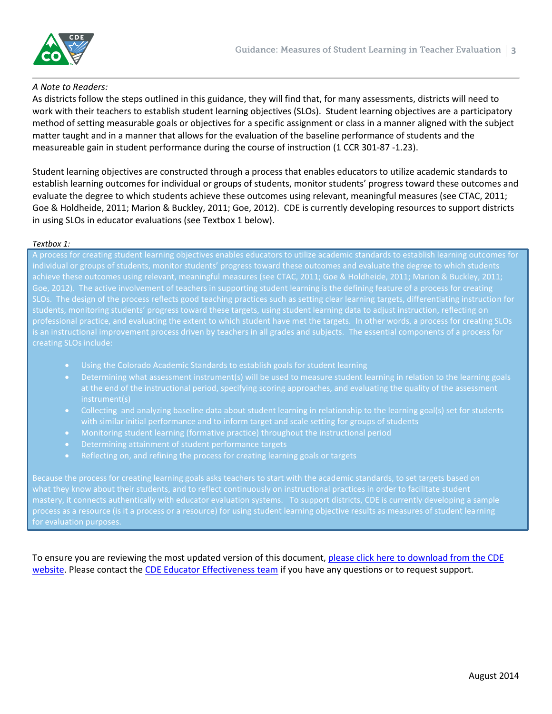

#### *A Note to Readers:*

As districts follow the steps outlined in this guidance, they will find that, for many assessments, districts will need to work with their teachers to establish student learning objectives (SLOs). Student learning objectives are a participatory method of setting measurable goals or objectives for a specific assignment or class in a manner aligned with the subject matter taught and in a manner that allows for the evaluation of the baseline performance of students and the measureable gain in student performance during the course of instruction (1 CCR 301-87 -1.23).

Student learning objectives are constructed through a process that enables educators to utilize academic standards to establish learning outcomes for individual or groups of students, monitor students' progress toward these outcomes and evaluate the degree to which students achieve these outcomes using relevant, meaningful measures (see CTAC, 2011; Goe & Holdheide, 2011; Marion & Buckley, 2011; Goe, 2012). CDE is currently developing resources to support districts in using SLOs in educator evaluations (see Textbox 1 below).

#### *Textbox 1:*

A process for creating student learning objectives enables educators to utilize academic standards to establish learning outcomes for individual or groups of students, monitor students' progress toward these outcomes and evaluate the degree to which students achieve these outcomes using relevant, meaningful measures (see CTAC, 2011; Goe & Holdheide, 2011; Marion & Buckley, 2011; Goe, 2012). The active involvement of teachers in supporting student learning is the defining feature of a process for creating SLOs. The design of the process reflects good teaching practices such as setting clear learning targets, differentiating instruction for students, monitoring students' progress toward these targets, using student learning data to adjust instruction, reflecting on professional practice, and evaluating the extent to which student have met the targets. In other words, a process for creating SLOs

- 
- Determining what assessment instrument(s) will be used to measure student learning in relation to the learning goals at the end of the instructional period, specifying scoring approaches, and evaluating the quality of the assessment instrument(s)
- Collecting and analyzing baseline data about student learning in relationship to the learning goal(s) set for students with similar initial performance and to inform target and scale setting for groups of students
- Monitoring student learning (formative practice) throughout the instructional period
- Determining attainment of student performance targets
- Reflecting on, and refining the process for creating learning goals or targets

Because the process for creating learning goals asks teachers to start with the academic standards, to set targets based on process as a resource (is it a process or a resource) for using student learning objective results as measures of student learning

To ensure you are reviewing the most updated version of this document, please click here to download from the CDE [website.](http://www.cde.state.co.us/educatoreffectiveness/measuresofstudentlearningguidanceteacher) Please contact the [CDE Educator Effectiveness team](http://www.cde.state.co.us/educatoreffectiveness/contactus) if you have any questions or to request support.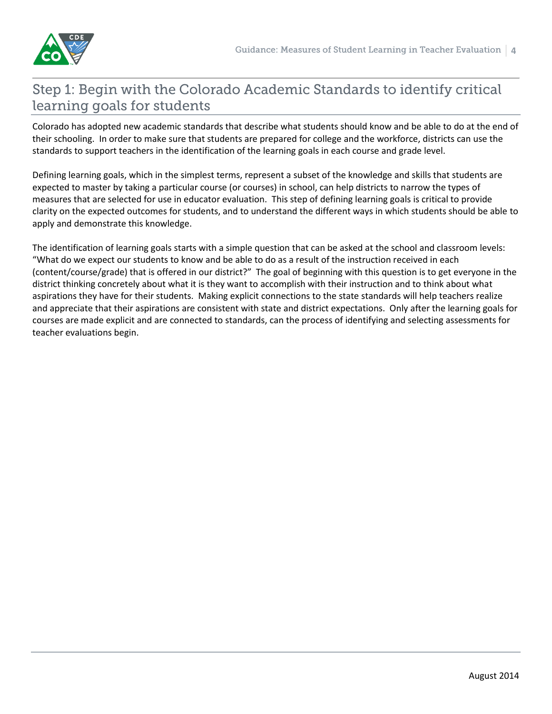

# Step 1: Begin with the Colorado Academic Standards to identify critical learning goals for students

Colorado has adopted new academic standards that describe what students should know and be able to do at the end of their schooling. In order to make sure that students are prepared for college and the workforce, districts can use the standards to support teachers in the identification of the learning goals in each course and grade level.

Defining learning goals, which in the simplest terms, represent a subset of the knowledge and skills that students are expected to master by taking a particular course (or courses) in school, can help districts to narrow the types of measures that are selected for use in educator evaluation. This step of defining learning goals is critical to provide clarity on the expected outcomes for students, and to understand the different ways in which students should be able to apply and demonstrate this knowledge.

The identification of learning goals starts with a simple question that can be asked at the school and classroom levels: "What do we expect our students to know and be able to do as a result of the instruction received in each (content/course/grade) that is offered in our district?" The goal of beginning with this question is to get everyone in the district thinking concretely about what it is they want to accomplish with their instruction and to think about what aspirations they have for their students. Making explicit connections to the state standards will help teachers realize and appreciate that their aspirations are consistent with state and district expectations. Only after the learning goals for courses are made explicit and are connected to standards, can the process of identifying and selecting assessments for teacher evaluations begin.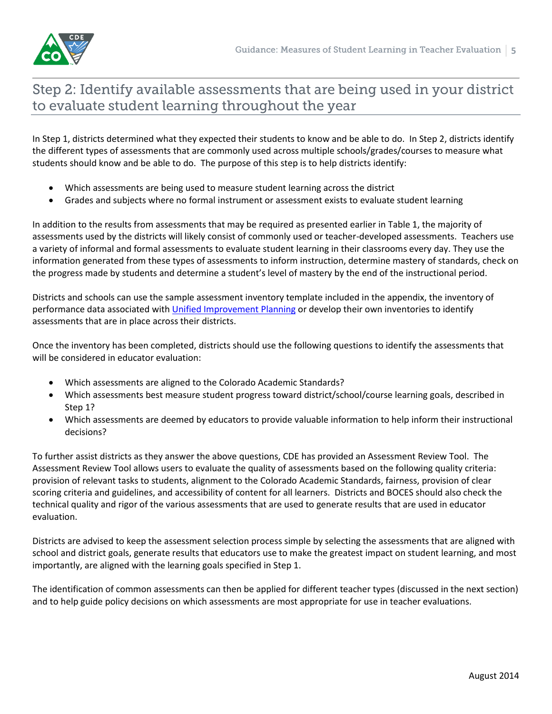

# Step 2: Identify available assessments that are being used in your district to evaluate student learning throughout the year

In Step 1, districts determined what they expected their students to know and be able to do. In Step 2, districts identify the different types of assessments that are commonly used across multiple schools/grades/courses to measure what students should know and be able to do. The purpose of this step is to help districts identify:

- Which assessments are being used to measure student learning across the district
- Grades and subjects where no formal instrument or assessment exists to evaluate student learning

In addition to the results from assessments that may be required as presented earlier in Table 1, the majority of assessments used by the districts will likely consist of commonly used or teacher-developed assessments. Teachers use a variety of informal and formal assessments to evaluate student learning in their classrooms every day. They use the information generated from these types of assessments to inform instruction, determine mastery of standards, check on the progress made by students and determine a student's level of mastery by the end of the instructional period.

Districts and schools can use the sample assessment inventory template included in the appendix, the inventory of performance data associated with [Unified Improvement Planning](http://www.cde.state.co.us/uip/AccessingData_Tools.asp) or develop their own inventories to identify assessments that are in place across their districts.

Once the inventory has been completed, districts should use the following questions to identify the assessments that will be considered in educator evaluation:

- Which assessments are aligned to the Colorado Academic Standards?
- Which assessments best measure student progress toward district/school/course learning goals, described in Step 1?
- Which assessments are deemed by educators to provide valuable information to help inform their instructional decisions?

To further assist districts as they answer the above questions, CDE has provided an Assessment Review Tool. The Assessment Review Tool allows users to evaluate the quality of assessments based on the following quality criteria: provision of relevant tasks to students, alignment to the Colorado Academic Standards, fairness, provision of clear scoring criteria and guidelines, and accessibility of content for all learners. Districts and BOCES should also check the technical quality and rigor of the various assessments that are used to generate results that are used in educator evaluation.

Districts are advised to keep the assessment selection process simple by selecting the assessments that are aligned with school and district goals, generate results that educators use to make the greatest impact on student learning, and most importantly, are aligned with the learning goals specified in Step 1.

The identification of common assessments can then be applied for different teacher types (discussed in the next section) and to help guide policy decisions on which assessments are most appropriate for use in teacher evaluations.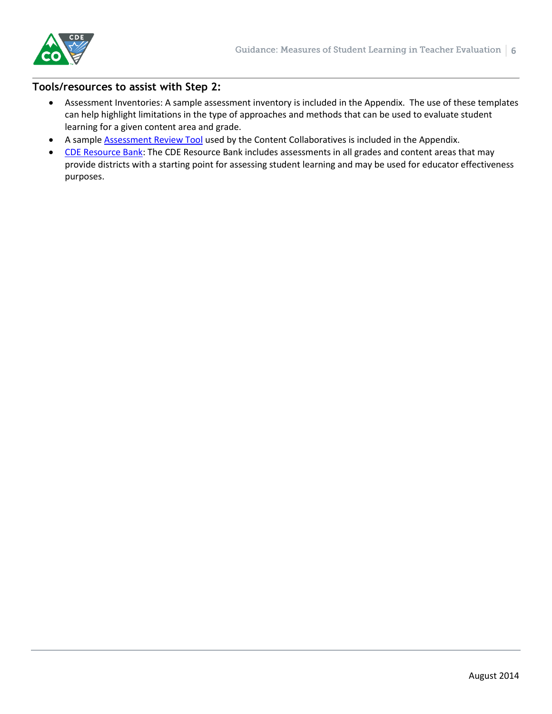

### **Tools/resources to assist with Step 2:**

- Assessment Inventories: A sample assessment inventory is included in the Appendix. The use of these templates can help highlight limitations in the type of approaches and methods that can be used to evaluate student learning for a given content area and grade.
- A sampl[e Assessment Review Tool](http://www.coloradoplc.org/files/uploads/files/Assessment-Review-Tool.xls) used by the Content Collaboratives is included in the Appendix.
- [CDE Resource Bank:](http://www.coloradoplc.org/assessment) The CDE Resource Bank includes assessments in all grades and content areas that may provide districts with a starting point for assessing student learning and may be used for educator effectiveness purposes.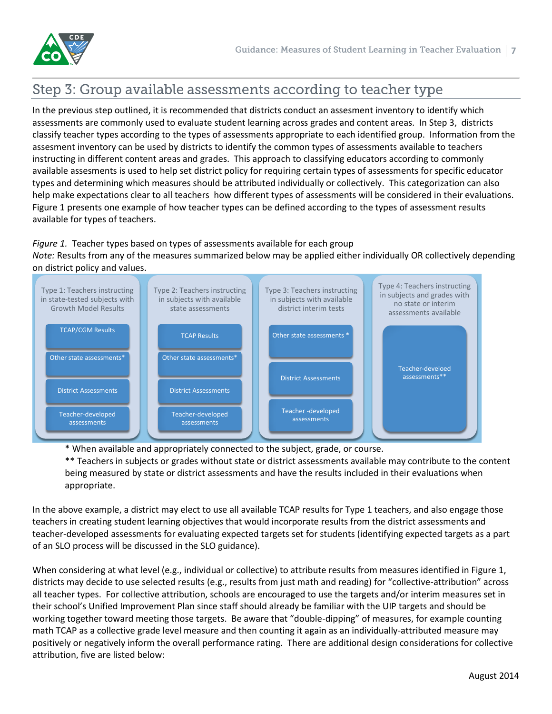

# Step 3: Group available assessments according to teacher type

In the previous step outlined, it is recommended that districts conduct an assesment inventory to identify which assessments are commonly used to evaluate student learning across grades and content areas. In Step 3, districts classify teacher types according to the types of assessments appropriate to each identified group. Information from the assesment inventory can be used by districts to identify the common types of assessments available to teachers instructing in different content areas and grades. This approach to classifying educators according to commonly available assesments is used to help set district policy for requiring certain types of assessments for specific educator types and determining which measures should be attributed individually or collectively. This categorization can also help make expectations clear to all teachers how different types of assessments will be considered in their evaluations. Figure 1 presents one example of how teacher types can be defined according to the types of assessment results available for types of teachers.

### *Figure 1.* Teacher types based on types of assessments available for each group

*Note:* Results from any of the measures summarized below may be applied either individually OR collectively depending on district policy and values.



\* When available and appropriately connected to the subject, grade, or course.

\*\* Teachers in subjects or grades without state or district assessments available may contribute to the content being measured by state or district assessments and have the results included in their evaluations when appropriate.

In the above example, a district may elect to use all available TCAP results for Type 1 teachers, and also engage those teachers in creating student learning objectives that would incorporate results from the district assessments and teacher-developed assessments for evaluating expected targets set for students (identifying expected targets as a part of an SLO process will be discussed in the SLO guidance).

When considering at what level (e.g., individual or collective) to attribute results from measures identified in Figure 1, districts may decide to use selected results (e.g., results from just math and reading) for "collective-attribution" across all teacher types. For collective attribution, schools are encouraged to use the targets and/or interim measures set in their school's Unified Improvement Plan since staff should already be familiar with the UIP targets and should be working together toward meeting those targets. Be aware that "double-dipping" of measures, for example counting math TCAP as a collective grade level measure and then counting it again as an individually-attributed measure may positively or negatively inform the overall performance rating. There are additional design considerations for collective attribution, five are listed below: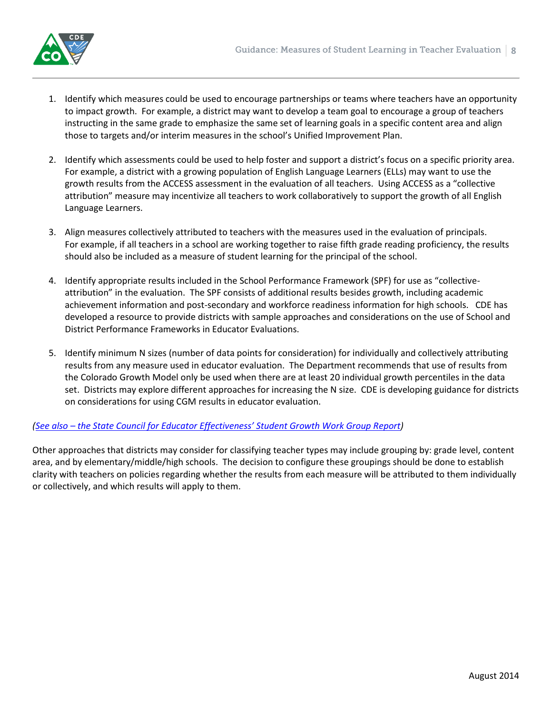

- 1. Identify which measures could be used to encourage partnerships or teams where teachers have an opportunity to impact growth. For example, a district may want to develop a team goal to encourage a group of teachers instructing in the same grade to emphasize the same set of learning goals in a specific content area and align those to targets and/or interim measures in the school's Unified Improvement Plan.
- 2. Identify which assessments could be used to help foster and support a district's focus on a specific priority area. For example, a district with a growing population of English Language Learners (ELLs) may want to use the growth results from the ACCESS assessment in the evaluation of all teachers. Using ACCESS as a "collective attribution" measure may incentivize all teachers to work collaboratively to support the growth of all English Language Learners.
- 3. Align measures collectively attributed to teachers with the measures used in the evaluation of principals. For example, if all teachers in a school are working together to raise fifth grade reading proficiency, the results should also be included as a measure of student learning for the principal of the school.
- 4. Identify appropriate results included in the School Performance Framework (SPF) for use as "collectiveattribution" in the evaluation. The SPF consists of additional results besides growth, including academic achievement information and post-secondary and workforce readiness information for high schools. CDE has developed a resource to provide districts with sample approaches and considerations on the use of School and District Performance Frameworks in Educator Evaluations.
- 5. Identify minimum N sizes (number of data points for consideration) for individually and collectively attributing results from any measure used in educator evaluation. The Department recommends that use of results from the Colorado Growth Model only be used when there are at least 20 individual growth percentiles in the data set. Districts may explore different approaches for increasing the N size. CDE is developing guidance for districts on considerations for using CGM results in educator evaluation.

### *(See also – [the State Council for Educator Effectiveness' Student Growth Work Group R](http://www.cde.state.co.us/sites/default/files/documents/educatoreffectiveness/downloads/report%20%26%20appendices/scee_report_appendix_8f-tag_measuring_student_growth_work_group.pdf)eport)*

Other approaches that districts may consider for classifying teacher types may include grouping by: grade level, content area, and by elementary/middle/high schools. The decision to configure these groupings should be done to establish clarity with teachers on policies regarding whether the results from each measure will be attributed to them individually or collectively, and which results will apply to them.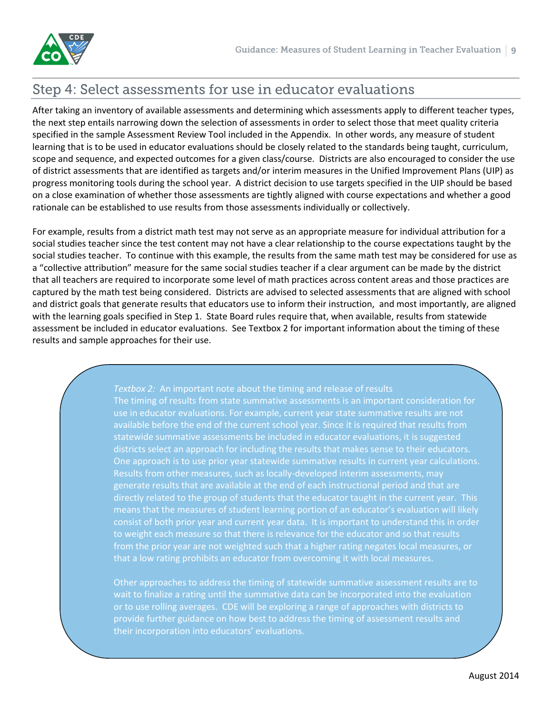# Step 4: Select assessments for use in educator evaluations

After taking an inventory of available assessments and determining which assessments apply to different teacher types, the next step entails narrowing down the selection of assessments in order to select those that meet quality criteria specified in the sample Assessment Review Tool included in the Appendix. In other words, any measure of student learning that is to be used in educator evaluations should be closely related to the standards being taught, curriculum, scope and sequence, and expected outcomes for a given class/course. Districts are also encouraged to consider the use of district assessments that are identified as targets and/or interim measures in the Unified Improvement Plans (UIP) as progress monitoring tools during the school year. A district decision to use targets specified in the UIP should be based on a close examination of whether those assessments are tightly aligned with course expectations and whether a good rationale can be established to use results from those assessments individually or collectively.

For example, results from a district math test may not serve as an appropriate measure for individual attribution for a social studies teacher since the test content may not have a clear relationship to the course expectations taught by the social studies teacher. To continue with this example, the results from the same math test may be considered for use as a "collective attribution" measure for the same social studies teacher if a clear argument can be made by the district that all teachers are required to incorporate some level of math practices across content areas and those practices are captured by the math test being considered. Districts are advised to selected assessments that are aligned with school and district goals that generate results that educators use to inform their instruction, and most importantly, are aligned with the learning goals specified in Step 1. State Board rules require that, when available, results from statewide assessment be included in educator evaluations. See Textbox 2 for important information about the timing of these results and sample approaches for their use.

> *Textbox 2:* An important note about the timing and release of results The timing of results from state summative assessments is an important consideration for available before the end of the current school year. Since it is required that results from statewide summative assessments be included in educator evaluations, it is suggested districts select an approach for including the results that makes sense to their educators. One approach is to use prior year statewide summative results in current year calculations. Results from other measures, such as locally-developed interim assessments, may generate results that are available at the end of each instructional period and that are directly related to the group of students that the educator taught in the current year. This means that the measures of student learning portion of an educator's evaluation will likely consist of both prior year and current year data. It is important to understand this in order to weight each measure so that there is relevance for the educator and so that results from the prior year are not weighted such that a higher rating negates local measures, or that a low rating prohibits an educator from overcoming it with local measures.

> Other approaches to address the timing of statewide summative assessment results are to wait to finalize a rating until the summative data can be incorporated into the evaluation or to use rolling averages. CDE will be exploring a range of approaches with districts to provide further guidance on how best to address the timing of assessment results and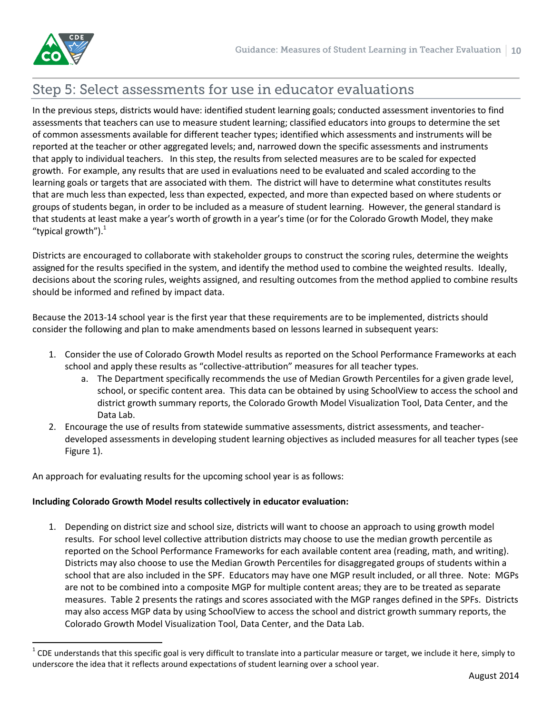$\overline{\phantom{a}}$ 

## Step 5: Select assessments for use in educator evaluations

In the previous steps, districts would have: identified student learning goals; conducted assessment inventories to find assessments that teachers can use to measure student learning; classified educators into groups to determine the set of common assessments available for different teacher types; identified which assessments and instruments will be reported at the teacher or other aggregated levels; and, narrowed down the specific assessments and instruments that apply to individual teachers. In this step, the results from selected measures are to be scaled for expected growth. For example, any results that are used in evaluations need to be evaluated and scaled according to the learning goals or targets that are associated with them. The district will have to determine what constitutes results that are much less than expected, less than expected, expected, and more than expected based on where students or groups of students began, in order to be included as a measure of student learning. However, the general standard is that students at least make a year's worth of growth in a year's time (or for the Colorado Growth Model, they make "typical growth"). $1$ 

Districts are encouraged to collaborate with stakeholder groups to construct the scoring rules, determine the weights assigned for the results specified in the system, and identify the method used to combine the weighted results. Ideally, decisions about the scoring rules, weights assigned, and resulting outcomes from the method applied to combine results should be informed and refined by impact data.

Because the 2013-14 school year is the first year that these requirements are to be implemented, districts should consider the following and plan to make amendments based on lessons learned in subsequent years:

- 1. Consider the use of Colorado Growth Model results as reported on the School Performance Frameworks at each school and apply these results as "collective-attribution" measures for all teacher types.
	- a. The Department specifically recommends the use of Median Growth Percentiles for a given grade level, school, or specific content area. This data can be obtained by using SchoolView to access the school and district growth summary reports, the Colorado Growth Model Visualization Tool, Data Center, and the Data Lab.
- 2. Encourage the use of results from statewide summative assessments, district assessments, and teacherdeveloped assessments in developing student learning objectives as included measures for all teacher types (see Figure 1).

An approach for evaluating results for the upcoming school year is as follows:

#### **Including Colorado Growth Model results collectively in educator evaluation:**

1. Depending on district size and school size, districts will want to choose an approach to using growth model results. For school level collective attribution districts may choose to use the median growth percentile as reported on the School Performance Frameworks for each available content area (reading, math, and writing). Districts may also choose to use the Median Growth Percentiles for disaggregated groups of students within a school that are also included in the SPF. Educators may have one MGP result included, or all three. Note: MGPs are not to be combined into a composite MGP for multiple content areas; they are to be treated as separate measures. Table 2 presents the ratings and scores associated with the MGP ranges defined in the SPFs. Districts may also access MGP data by using SchoolView to access the school and district growth summary reports, the Colorado Growth Model Visualization Tool, Data Center, and the Data Lab.

 $^1$  CDE understands that this specific goal is very difficult to translate into a particular measure or target, we include it here, simply to underscore the idea that it reflects around expectations of student learning over a school year.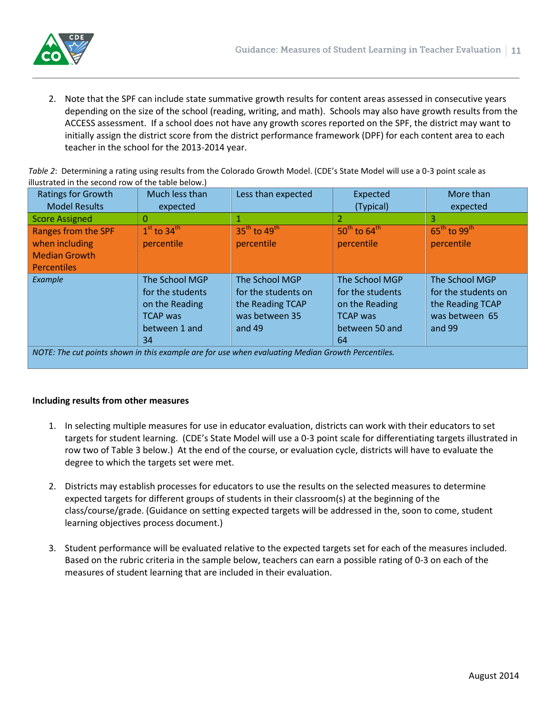

2. Note that the SPF can include state summative growth results for content areas assessed in consecutive years depending on the size of the school (reading, writing, and math). Schools may also have growth results from the ACCESS assessment. If a school does not have any growth scores reported on the SPF, the district may want to initially assign the district score from the district performance framework (DPF) for each content area to each teacher in the school for the 2013-2014 year.

*Table 2*: Determining a rating using results from the Colorado Growth Model. (CDE's State Model will use a 0-3 point scale as illustrated in the second row of the table below.)

| <b>Ratings for Growth</b>                                                                         | Much less than                                                                                 | Less than expected                                                                      | Expected                                                                                        | More than                                                                             |
|---------------------------------------------------------------------------------------------------|------------------------------------------------------------------------------------------------|-----------------------------------------------------------------------------------------|-------------------------------------------------------------------------------------------------|---------------------------------------------------------------------------------------|
| <b>Model Results</b>                                                                              | expected                                                                                       |                                                                                         | (Typical)                                                                                       | expected                                                                              |
| <b>Score Assigned</b>                                                                             | 0                                                                                              |                                                                                         | $\overline{2}$                                                                                  | 3                                                                                     |
| Ranges from the SPF<br>when including<br><b>Median Growth</b><br><b>Percentiles</b>               | $1st$ to 34 $th$<br>percentile                                                                 | $35th$ to 49 <sup>th</sup><br>percentile                                                | $50^{\text{th}}$ to $64^{\text{th}}$<br>percentile                                              | $65^{\text{th}}$ to 99 <sup>th</sup><br>percentile                                    |
| Example                                                                                           | The School MGP<br>for the students<br>on the Reading<br><b>TCAP</b> was<br>between 1 and<br>34 | The School MGP<br>for the students on<br>the Reading TCAP<br>was between 35<br>and $49$ | The School MGP<br>for the students<br>on the Reading<br><b>TCAP</b> was<br>between 50 and<br>64 | The School MGP<br>for the students on<br>the Reading TCAP<br>was between 65<br>and 99 |
| NOTE: The cut points shown in this example are for use when evaluating Median Growth Percentiles. |                                                                                                |                                                                                         |                                                                                                 |                                                                                       |

#### **Including results from other measures**

- 1. In selecting multiple measures for use in educator evaluation, districts can work with their educators to set targets for student learning. (CDE's State Model will use a 0-3 point scale for differentiating targets illustrated in row two of Table 3 below.) At the end of the course, or evaluation cycle, districts will have to evaluate the degree to which the targets set were met.
- 2. Districts may establish processes for educators to use the results on the selected measures to determine expected targets for different groups of students in their classroom(s) at the beginning of the class/course/grade. (Guidance on setting expected targets will be addressed in the, soon to come, student learning objectives process document.)
- 3. Student performance will be evaluated relative to the expected targets set for each of the measures included. Based on the rubric criteria in the sample below, teachers can earn a possible rating of 0-3 on each of the measures of student learning that are included in their evaluation.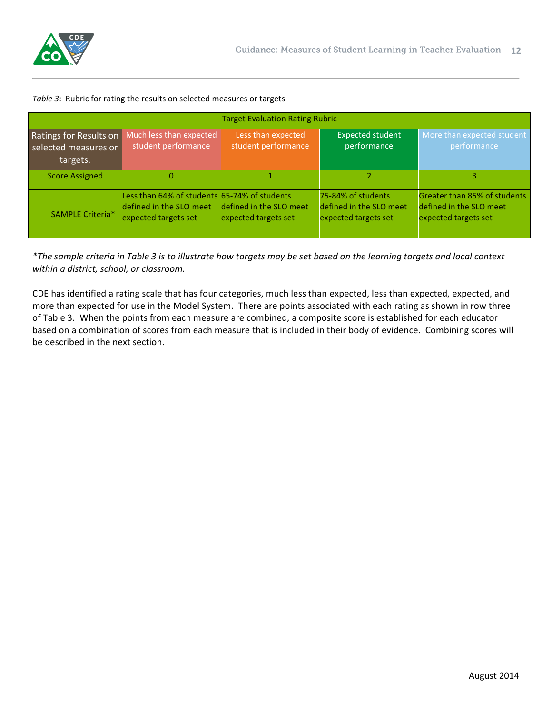

#### *Table 3*: Rubric for rating the results on selected measures or targets

| <b>Target Evaluation Rating Rubric</b>                     |                                                                                                 |                                                 |                                                                       |                                                                                 |
|------------------------------------------------------------|-------------------------------------------------------------------------------------------------|-------------------------------------------------|-----------------------------------------------------------------------|---------------------------------------------------------------------------------|
| Ratings for Results on<br>selected measures or<br>targets. | Much less than expected<br>student performance                                                  | Less than expected<br>student performance       | <b>Expected student</b><br>performance                                | More than expected student<br>performance                                       |
| <b>Score Assigned</b>                                      | 0                                                                                               |                                                 |                                                                       |                                                                                 |
| <b>SAMPLE Criteria*</b>                                    | Less than 64% of students 65-74% of students<br>defined in the SLO meet<br>expected targets set | defined in the SLO meet<br>expected targets set | 75-84% of students<br>defined in the SLO meet<br>expected targets set | Greater than 85% of students<br>defined in the SLO meet<br>expected targets set |

*\*The sample criteria in Table 3 is to illustrate how targets may be set based on the learning targets and local context within a district, school, or classroom.*

CDE has identified a rating scale that has four categories, much less than expected, less than expected, expected, and more than expected for use in the Model System. There are points associated with each rating as shown in row three of Table 3. When the points from each measure are combined, a composite score is established for each educator based on a combination of scores from each measure that is included in their body of evidence. Combining scores will be described in the next section.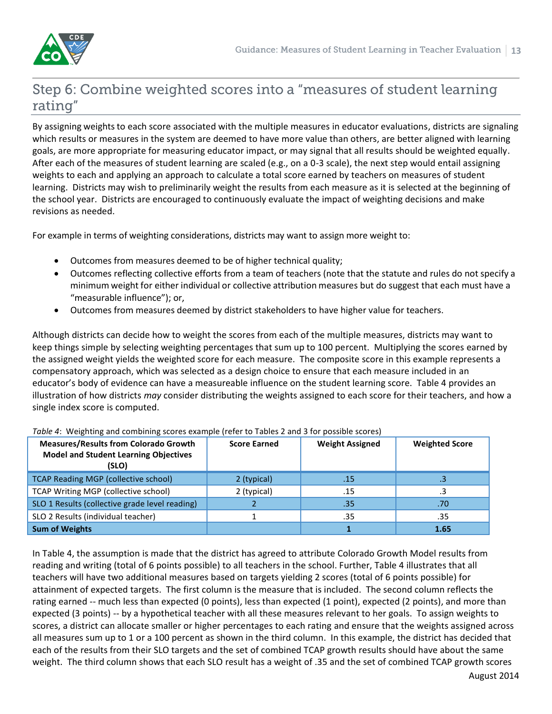

# Step 6: Combine weighted scores into a "measures of student learning rating"

By assigning weights to each score associated with the multiple measures in educator evaluations, districts are signaling which results or measures in the system are deemed to have more value than others, are better aligned with learning goals, are more appropriate for measuring educator impact, or may signal that all results should be weighted equally. After each of the measures of student learning are scaled (e.g., on a 0-3 scale), the next step would entail assigning weights to each and applying an approach to calculate a total score earned by teachers on measures of student learning. Districts may wish to preliminarily weight the results from each measure as it is selected at the beginning of the school year. Districts are encouraged to continuously evaluate the impact of weighting decisions and make revisions as needed.

For example in terms of weighting considerations, districts may want to assign more weight to:

- Outcomes from measures deemed to be of higher technical quality;
- Outcomes reflecting collective efforts from a team of teachers (note that the statute and rules do not specify a minimum weight for either individual or collective attribution measures but do suggest that each must have a "measurable influence"); or,
- Outcomes from measures deemed by district stakeholders to have higher value for teachers.

Although districts can decide how to weight the scores from each of the multiple measures, districts may want to keep things simple by selecting weighting percentages that sum up to 100 percent. Multiplying the scores earned by the assigned weight yields the weighted score for each measure. The composite score in this example represents a compensatory approach, which was selected as a design choice to ensure that each measure included in an educator's body of evidence can have a measureable influence on the student learning score. Table 4 provides an illustration of how districts *may* consider distributing the weights assigned to each score for their teachers, and how a single index score is computed.

| <b>Measures/Results from Colorado Growth</b><br><b>Model and Student Learning Objectives</b><br>(SLO) | <b>Score Earned</b> | <b>Weight Assigned</b> | <b>Weighted Score</b> |
|-------------------------------------------------------------------------------------------------------|---------------------|------------------------|-----------------------|
| <b>TCAP Reading MGP (collective school)</b>                                                           | 2 (typical)         | .15                    |                       |
| TCAP Writing MGP (collective school)                                                                  | 2 (typical)         | .15                    |                       |
| SLO 1 Results (collective grade level reading)                                                        |                     | .35                    | .70                   |
| SLO 2 Results (individual teacher)                                                                    |                     | .35                    | .35                   |
| <b>Sum of Weights</b>                                                                                 |                     |                        | 1.65                  |

*Table 4*: Weighting and combining scores example (refer to Tables 2 and 3 for possible scores)

In Table 4, the assumption is made that the district has agreed to attribute Colorado Growth Model results from reading and writing (total of 6 points possible) to all teachers in the school. Further, Table 4 illustrates that all teachers will have two additional measures based on targets yielding 2 scores (total of 6 points possible) for attainment of expected targets. The first column is the measure that is included. The second column reflects the rating earned -- much less than expected (0 points), less than expected (1 point), expected (2 points), and more than expected (3 points) -- by a hypothetical teacher with all these measures relevant to her goals. To assign weights to scores, a district can allocate smaller or higher percentages to each rating and ensure that the weights assigned across all measures sum up to 1 or a 100 percent as shown in the third column. In this example, the district has decided that each of the results from their SLO targets and the set of combined TCAP growth results should have about the same weight. The third column shows that each SLO result has a weight of .35 and the set of combined TCAP growth scores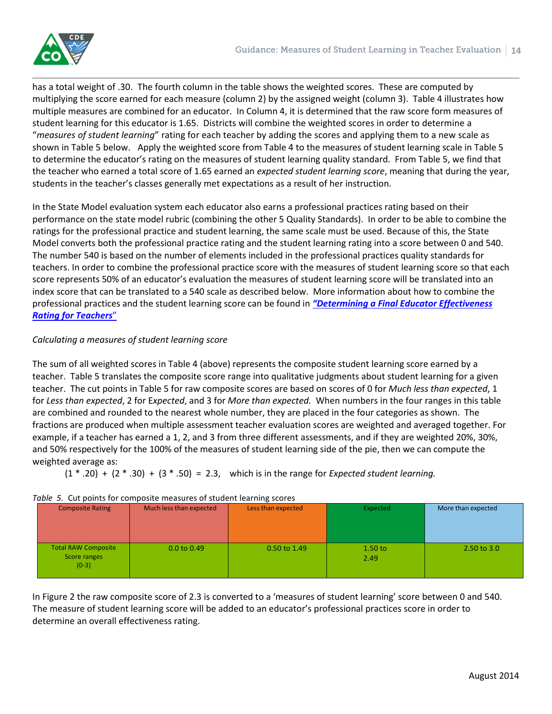

has a total weight of .30. The fourth column in the table shows the weighted scores. These are computed by multiplying the score earned for each measure (column 2) by the assigned weight (column 3). Table 4 illustrates how multiple measures are combined for an educator. In Column 4, it is determined that the raw score form measures of student learning for this educator is 1.65. Districts will combine the weighted scores in order to determine a "*measures of student learning*" rating for each teacher by adding the scores and applying them to a new scale as shown in Table 5 below. Apply the weighted score from Table 4 to the measures of student learning scale in Table 5 to determine the educator's rating on the measures of student learning quality standard. From Table 5, we find that the teacher who earned a total score of 1.65 earned an *expected student learning score*, meaning that during the year, students in the teacher's classes generally met expectations as a result of her instruction.

In the State Model evaluation system each educator also earns a professional practices rating based on their performance on the state model rubric (combining the other 5 Quality Standards). In order to be able to combine the ratings for the professional practice and student learning, the same scale must be used. Because of this, the State Model converts both the professional practice rating and the student learning rating into a score between 0 and 540. The number 540 is based on the number of elements included in the professional practices quality standards for teachers. In order to combine the professional practice score with the measures of student learning score so that each score represents 50% of an educator's evaluation the measures of student learning score will be translated into an index score that can be translated to a 540 scale as described below. More information about how to combine the professional practices and the student learning score can be found in *["Determining a Final Educator Effectiveness](http://www.cde.state.co.us/educatoreffectiveness/determining-a-final-educator-effectiveness-rating)  [Rating for Teachers](http://www.cde.state.co.us/educatoreffectiveness/determining-a-final-educator-effectiveness-rating)*"

### *Calculating a measures of student learning score*

The sum of all weighted scores in Table 4 (above) represents the composite student learning score earned by a teacher. Table 5 translates the composite score range into qualitative judgments about student learning for a given teacher. The cut points in Table 5 for raw composite scores are based on scores of 0 for *Much less than expected*, 1 for *Less than expected*, 2 for E*xpected*, and 3 for *More than expected.* When numbers in the four ranges in this table are combined and rounded to the nearest whole number, they are placed in the four categories as shown. The fractions are produced when multiple assessment teacher evaluation scores are weighted and averaged together. For example, if a teacher has earned a 1, 2, and 3 from three different assessments, and if they are weighted 20%, 30%, and 50% respectively for the 100% of the measures of student learning side of the pie, then we can compute the weighted average as:

(1 \* .20) + (2 \* .30) + (3 \* .50) = 2.3, which is in the range for *Expected student learning.*

#### Composite Rating | Much less than expected | Less than expected | Expected More than expected Total RAW Composite Score ranges (0-3) 0.0 to 0.49 0.50 to 1.49 1.50 to 2.49 2.50 to 3.0

### *Table 5.* Cut points for composite measures of student learning scores

In Figure 2 the raw composite score of 2.3 is converted to a 'measures of student learning' score between 0 and 540. The measure of student learning score will be added to an educator's professional practices score in order to determine an overall effectiveness rating.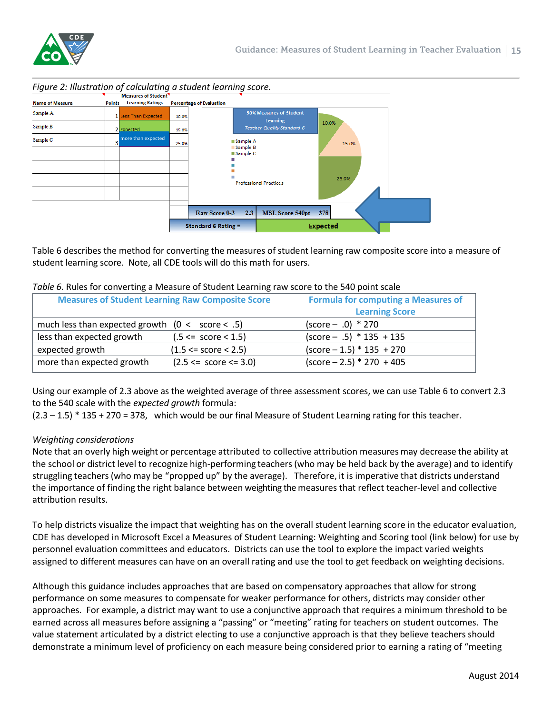



Table 6 describes the method for converting the measures of student learning raw composite score into a measure of student learning score. Note, all CDE tools will do this math for users.

| <b>Measures of Student Learning Raw Composite Score</b> |                              | <b>Formula for computing a Measures of</b> |
|---------------------------------------------------------|------------------------------|--------------------------------------------|
|                                                         |                              | <b>Learning Score</b>                      |
| much less than expected growth $(0 < score < .5)$       |                              | $(score - .0) * 270$                       |
| less than expected growth                               | $(.5 \leq score \leq 1.5)$   | $(score - .5) * 135 + 135$                 |
| expected growth                                         | $(1.5 \leq score \leq 2.5)$  | $(score - 1.5) * 135 + 270$                |
| more than expected growth                               | $(2.5 \leq :score \leq 3.0)$ | $(score - 2.5) * 270 + 405$                |

#### *Table 6.* Rules for converting a Measure of Student Learning raw score to the 540 point scale

Using our example of 2.3 above as the weighted average of three assessment scores, we can use Table 6 to convert 2.3 to the 540 scale with the *expected growth* formula:

 $(2.3 - 1.5) * 135 + 270 = 378$ , which would be our final Measure of Student Learning rating for this teacher.

### *Weighting considerations*

Note that an overly high weight or percentage attributed to collective attribution measures may decrease the ability at the school or district level to recognize high-performing teachers (who may be held back by the average) and to identify struggling teachers (who may be "propped up" by the average). Therefore, it is imperative that districts understand the importance of finding the right balance between weighting the measures that reflect teacher-level and collective attribution results.

To help districts visualize the impact that weighting has on the overall student learning score in the educator evaluation, CDE has developed in Microsoft Excel a Measures of Student Learning: Weighting and Scoring tool (link below) for use by personnel evaluation committees and educators. Districts can use the tool to explore the impact varied weights assigned to different measures can have on an overall rating and use the tool to get feedback on weighting decisions.

Although this guidance includes approaches that are based on compensatory approaches that allow for strong performance on some measures to compensate for weaker performance for others, districts may consider other approaches. For example, a district may want to use a conjunctive approach that requires a minimum threshold to be earned across all measures before assigning a "passing" or "meeting" rating for teachers on student outcomes. The value statement articulated by a district electing to use a conjunctive approach is that they believe teachers should demonstrate a minimum level of proficiency on each measure being considered prior to earning a rating of "meeting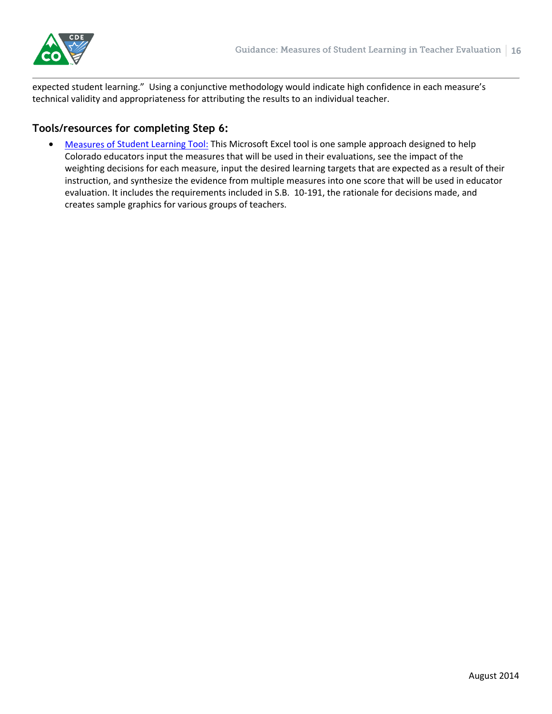

expected student learning." Using a conjunctive methodology would indicate high confidence in each measure's technical validity and appropriateness for attributing the results to an individual teacher.

### **Tools/resources for completing Step 6:**

 [Measures of Student Learning Tool:](http://www.cde.state.co.us/educatoreffectiveness/measures-of-student-learning-tool) This Microsoft Excel tool is one sample approach designed to help Colorado educators input the measures that will be used in their evaluations, see the impact of the weighting decisions for each measure, input the desired learning targets that are expected as a result of their instruction, and synthesize the evidence from multiple measures into one score that will be used in educator evaluation. It includes the requirements included in S.B. 10-191, the rationale for decisions made, and creates sample graphics for various groups of teachers.